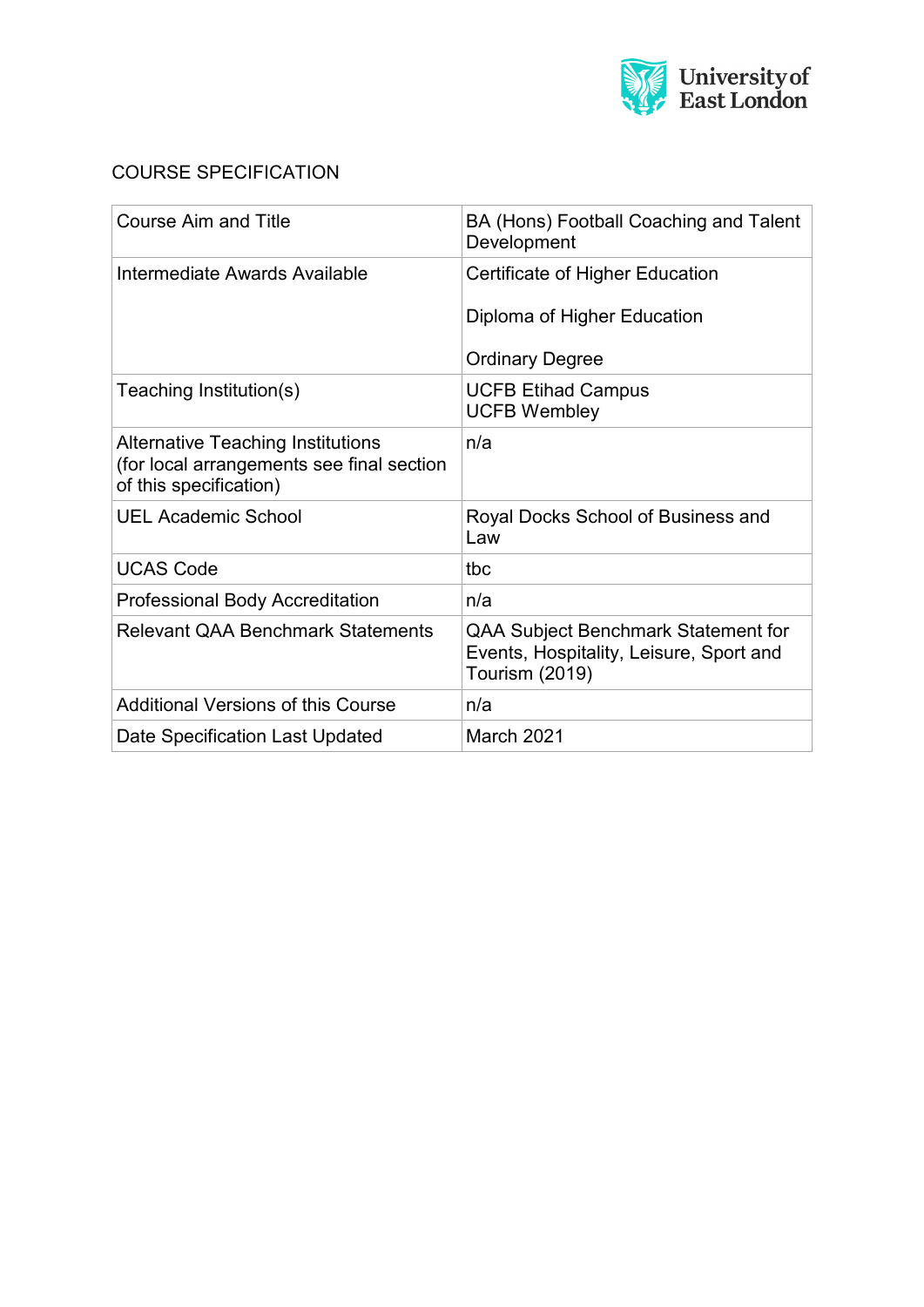

# COURSE SPECIFICATION

| <b>Course Aim and Title</b>                                                                                     | BA (Hons) Football Coaching and Talent<br>Development                                            |
|-----------------------------------------------------------------------------------------------------------------|--------------------------------------------------------------------------------------------------|
| Intermediate Awards Available                                                                                   | Certificate of Higher Education                                                                  |
|                                                                                                                 | Diploma of Higher Education                                                                      |
|                                                                                                                 | <b>Ordinary Degree</b>                                                                           |
| Teaching Institution(s)                                                                                         | <b>UCFB Etihad Campus</b><br><b>UCFB Wembley</b>                                                 |
| <b>Alternative Teaching Institutions</b><br>(for local arrangements see final section<br>of this specification) | n/a                                                                                              |
| <b>UEL Academic School</b>                                                                                      | Royal Docks School of Business and<br>Law                                                        |
| <b>UCAS Code</b>                                                                                                | tbc                                                                                              |
| <b>Professional Body Accreditation</b>                                                                          | n/a                                                                                              |
| <b>Relevant QAA Benchmark Statements</b>                                                                        | QAA Subject Benchmark Statement for<br>Events, Hospitality, Leisure, Sport and<br>Tourism (2019) |
| <b>Additional Versions of this Course</b>                                                                       | n/a                                                                                              |
| Date Specification Last Updated                                                                                 | March 2021                                                                                       |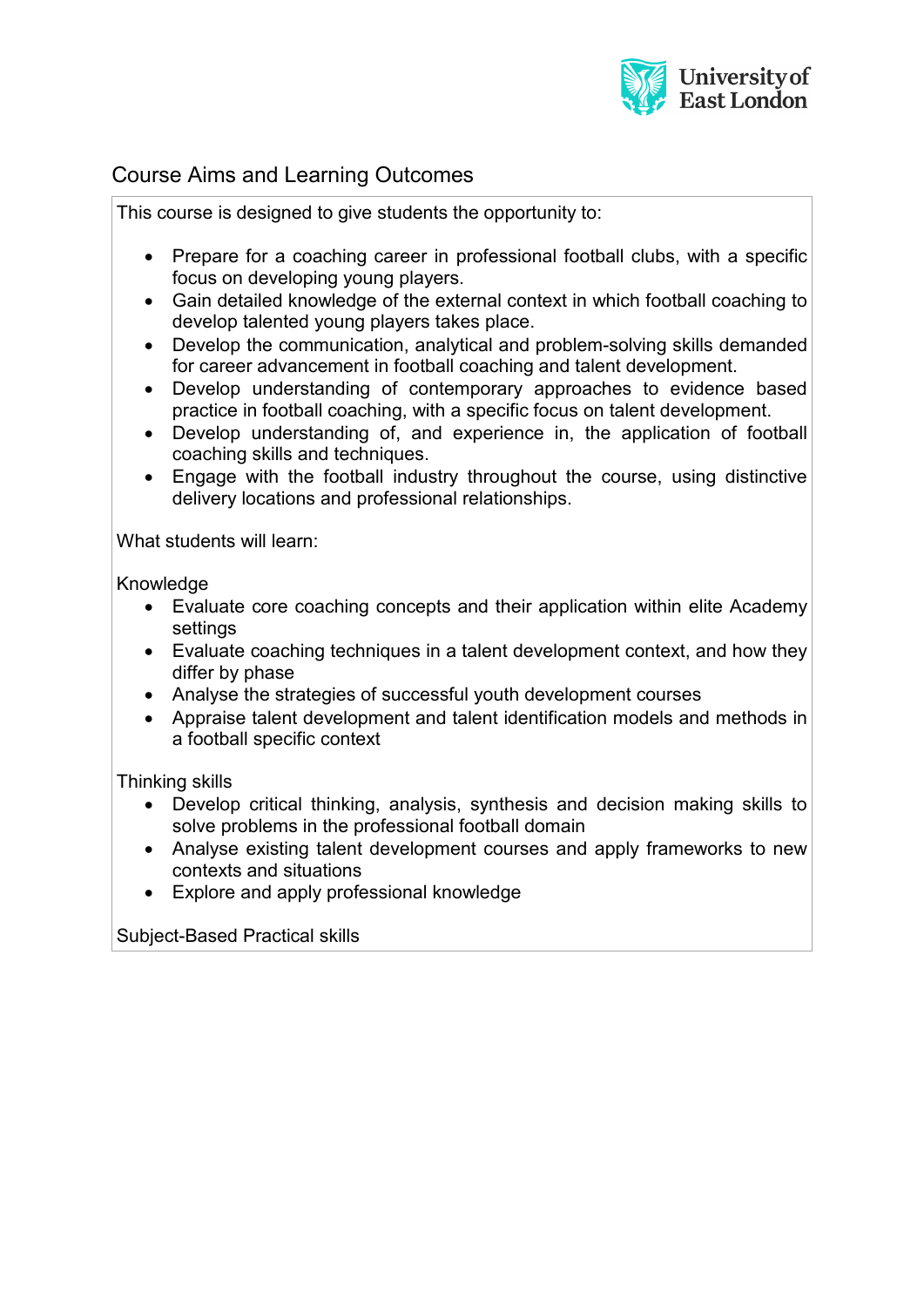

# Course Aims and Learning Outcomes

This course is designed to give students the opportunity to:

- Prepare for a coaching career in professional football clubs, with a specific focus on developing young players.
- Gain detailed knowledge of the external context in which football coaching to develop talented young players takes place.
- Develop the communication, analytical and problem-solving skills demanded for career advancement in football coaching and talent development.
- Develop understanding of contemporary approaches to evidence based practice in football coaching, with a specific focus on talent development.
- Develop understanding of, and experience in, the application of football coaching skills and techniques.
- Engage with the football industry throughout the course, using distinctive delivery locations and professional relationships.

What students will learn:

Knowledge

- Evaluate core coaching concepts and their application within elite Academy settings
- Evaluate coaching techniques in a talent development context, and how they differ by phase
- Analyse the strategies of successful youth development courses
- Appraise talent development and talent identification models and methods in a football specific context

Thinking skills

- Develop critical thinking, analysis, synthesis and decision making skills to solve problems in the professional football domain
- Analyse existing talent development courses and apply frameworks to new contexts and situations
- Explore and apply professional knowledge

Subject-Based Practical skills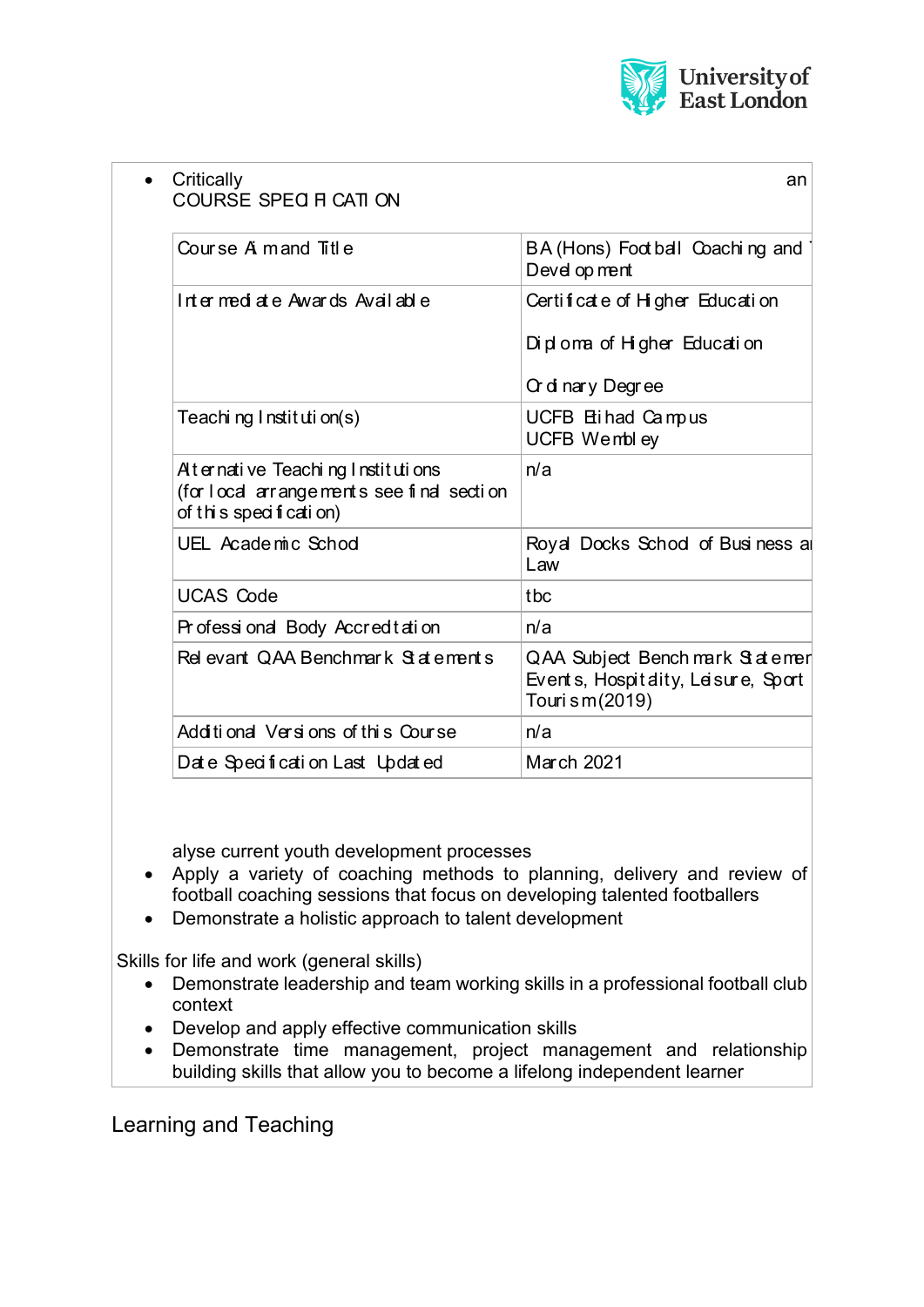

| Critically<br>COURSE SPEC H CATI ON                                                                     | an                                                                                       |
|---------------------------------------------------------------------------------------------------------|------------------------------------------------------------------------------------------|
| Course A mand Title                                                                                     | BA (Hons) Foot ball Coaching and<br>Devel op ment                                        |
| Intermediate Awards Available                                                                           | Certificate of Higher Education<br>Diploma of Higher Education<br>Or dinary Degree       |
| Teaching Institution(s)                                                                                 | UCFB Etihad Campus<br>UCFB Wembley                                                       |
| Aternative Teaching Institutions<br>(for local arrangements see final section<br>of this specification) | n/a                                                                                      |
| UEL Academic Schod                                                                                      | Royal Docks Schod of Business a<br>Law                                                   |
| <b>UCAS Code</b>                                                                                        | tbc                                                                                      |
| Professional Body Accreditation                                                                         | n/a                                                                                      |
| Rel evant QAA Benchmark Statements                                                                      | QAA Subject Bench mark Statemer<br>Events, Hospitality, Leisure, Sport<br>Touri sm(2019) |
| Additional Versions of this Course                                                                      | n/a                                                                                      |
| Date Specification Last Updated                                                                         | March 2021                                                                               |
|                                                                                                         |                                                                                          |

alyse current youth development processes

- Apply a variety of coaching methods to planning, delivery and review of football coaching sessions that focus on developing talented footballers
- Demonstrate a holistic approach to talent development

Skills for life and work (general skills)

- Demonstrate leadership and team working skills in a professional football club context
- Develop and apply effective communication skills
- Demonstrate time management, project management and relationship building skills that allow you to become a lifelong independent learner

Learning and Teaching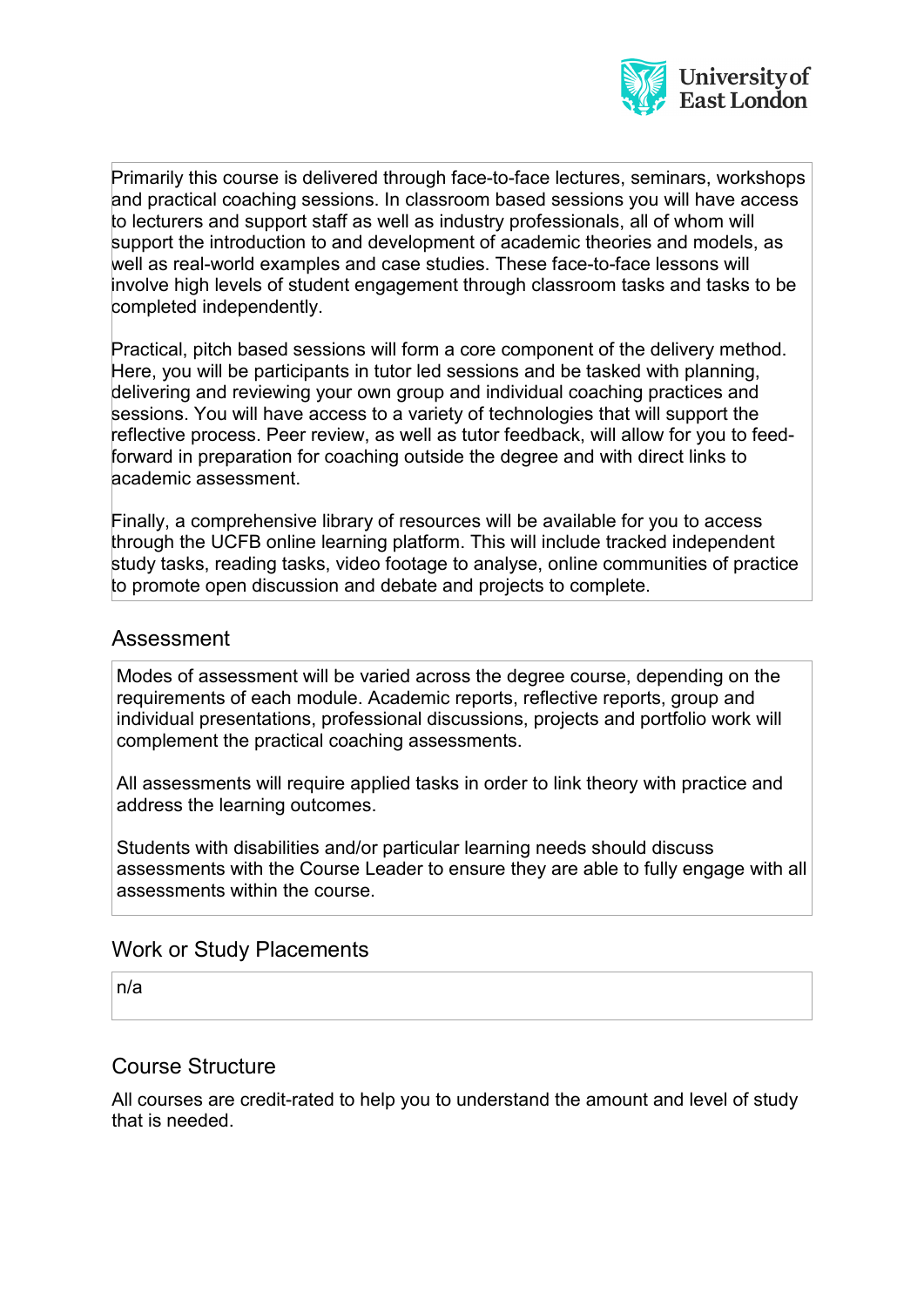

Primarily this course is delivered through face-to-face lectures, seminars, workshops and practical coaching sessions. In classroom based sessions you will have access to lecturers and support staff as well as industry professionals, all of whom will support the introduction to and development of academic theories and models, as well as real-world examples and case studies. These face-to-face lessons will involve high levels of student engagement through classroom tasks and tasks to be completed independently.

Practical, pitch based sessions will form a core component of the delivery method. Here, you will be participants in tutor led sessions and be tasked with planning, delivering and reviewing your own group and individual coaching practices and sessions. You will have access to a variety of technologies that will support the reflective process. Peer review, as well as tutor feedback, will allow for you to feedforward in preparation for coaching outside the degree and with direct links to academic assessment.

Finally, a comprehensive library of resources will be available for you to access through the UCFB online learning platform. This will include tracked independent study tasks, reading tasks, video footage to analyse, online communities of practice to promote open discussion and debate and projects to complete.

### Assessment

Modes of assessment will be varied across the degree course, depending on the requirements of each module. Academic reports, reflective reports, group and individual presentations, professional discussions, projects and portfolio work will complement the practical coaching assessments.

All assessments will require applied tasks in order to link theory with practice and address the learning outcomes.

Students with disabilities and/or particular learning needs should discuss assessments with the Course Leader to ensure they are able to fully engage with all assessments within the course.

#### Work or Study Placements

n/a

#### Course Structure

All courses are credit-rated to help you to understand the amount and level of study that is needed.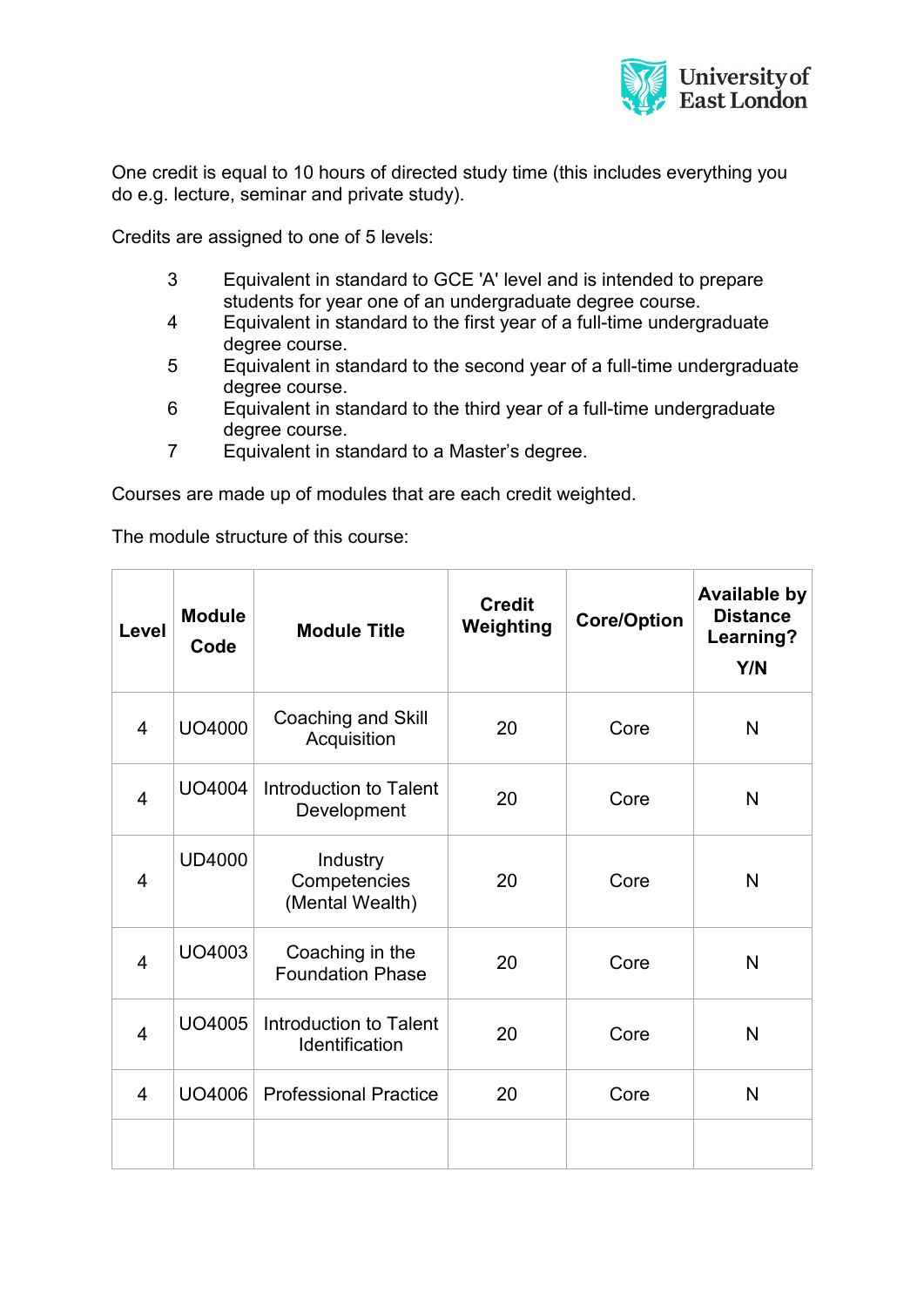

One credit is equal to 10 hours of directed study time (this includes everything you do e.g. lecture, seminar and private study).

Credits are assigned to one of 5 levels:

- 3 Equivalent in standard to GCE 'A' level and is intended to prepare students for year one of an undergraduate degree course.
- 4 Equivalent in standard to the first year of a full-time undergraduate degree course.
- 5 Equivalent in standard to the second year of a full-time undergraduate degree course.
- 6 Equivalent in standard to the third year of a full-time undergraduate degree course.
- 7 Equivalent in standard to a Master's degree.

Courses are made up of modules that are each credit weighted.

The module structure of this course:

| Level          | <b>Module</b><br>Code | <b>Module Title</b>                         | <b>Credit</b><br>Weighting | <b>Core/Option</b> | <b>Available by</b><br><b>Distance</b><br>Learning?<br>Y/N |
|----------------|-----------------------|---------------------------------------------|----------------------------|--------------------|------------------------------------------------------------|
| $\overline{4}$ | UO4000                | Coaching and Skill<br>Acquisition           | 20                         | Core               | N                                                          |
| $\overline{4}$ | UO4004                | Introduction to Talent<br>Development       | 20                         | Core               | N                                                          |
| $\overline{4}$ | <b>UD4000</b>         | Industry<br>Competencies<br>(Mental Wealth) | 20                         | Core               | N                                                          |
| $\overline{4}$ | UO4003                | Coaching in the<br><b>Foundation Phase</b>  | 20                         | Core               | N                                                          |
| $\overline{4}$ | UO4005                | Introduction to Talent<br>Identification    | 20                         | Core               | N                                                          |
| 4              | UO4006                | <b>Professional Practice</b>                | 20                         | Core               | N                                                          |
|                |                       |                                             |                            |                    |                                                            |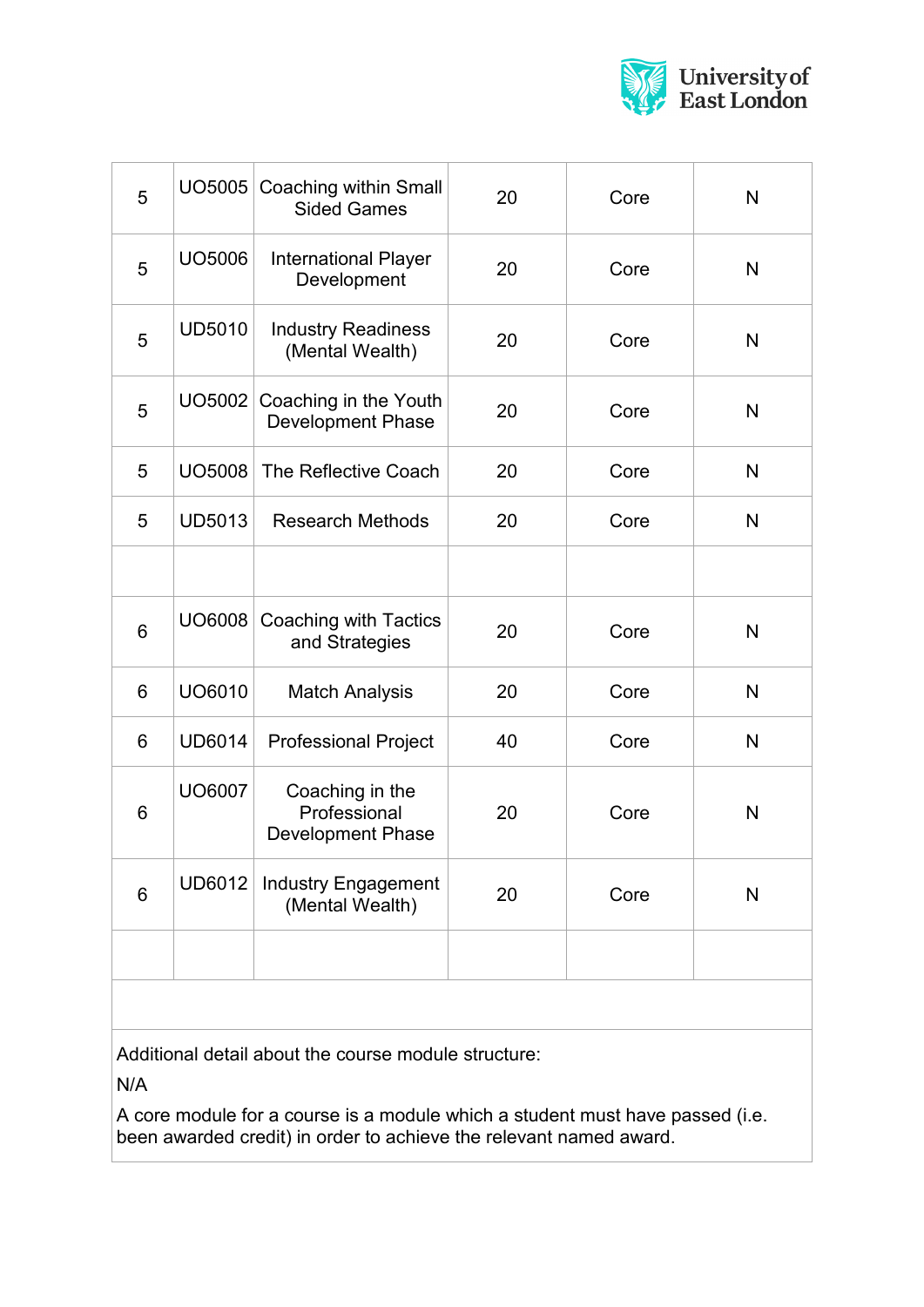

| 5              |               | UO5005 Coaching within Small<br><b>Sided Games</b>          | 20 | Core | N |
|----------------|---------------|-------------------------------------------------------------|----|------|---|
| 5              | UO5006        | <b>International Player</b><br>Development                  | 20 | Core | N |
| 5              | <b>UD5010</b> | <b>Industry Readiness</b><br>(Mental Wealth)                | 20 | Core | N |
| 5              | UO5002        | Coaching in the Youth<br><b>Development Phase</b>           | 20 | Core | N |
| 5              | <b>UO5008</b> | The Reflective Coach                                        | 20 | Core | N |
| 5              | <b>UD5013</b> | <b>Research Methods</b>                                     | 20 | Core | N |
|                |               |                                                             |    |      |   |
| $6\phantom{1}$ | UO6008        | Coaching with Tactics<br>and Strategies                     | 20 | Core | N |
| 6              | UO6010        | <b>Match Analysis</b>                                       | 20 | Core | N |
| 6              | <b>UD6014</b> | <b>Professional Project</b>                                 | 40 | Core | N |
| 6              | <b>UO6007</b> | Coaching in the<br>Professional<br><b>Development Phase</b> | 20 | Core | N |
| 6              | <b>UD6012</b> | <b>Industry Engagement</b><br>(Mental Wealth)               | 20 | Core | N |
|                |               |                                                             |    |      |   |
|                |               |                                                             |    |      |   |

Additional detail about the course module structure:

N/A

A core module for a course is a module which a student must have passed (i.e. been awarded credit) in order to achieve the relevant named award.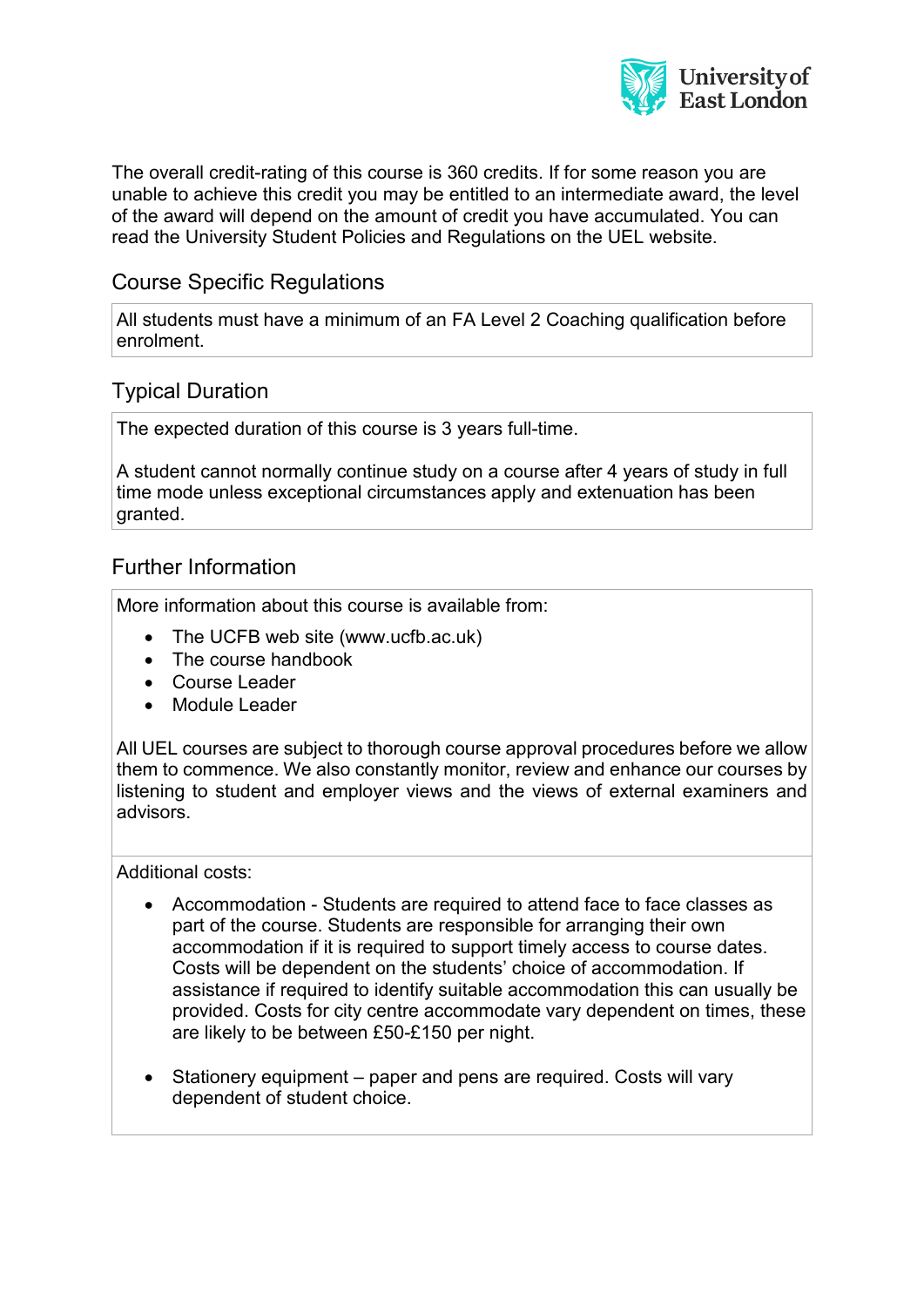

The overall credit-rating of this course is 360 credits. If for some reason you are unable to achieve this credit you may be entitled to an intermediate award, the level of the award will depend on the amount of credit you have accumulated. You can read the University Student Policies and Regulations on the UEL website.

## Course Specific Regulations

All students must have a minimum of an FA Level 2 Coaching qualification before enrolment.

# Typical Duration

The expected duration of this course is 3 years full-time.

A student cannot normally continue study on a course after 4 years of study in full time mode unless exceptional circumstances apply and extenuation has been granted.

### Further Information

More information about this course is available from:

- The UCFB web site (www.ucfb.ac.uk)
- The course handbook
- Course Leader
- Module Leader

All UEL courses are subject to thorough course approval procedures before we allow them to commence. We also constantly monitor, review and enhance our courses by listening to student and employer views and the views of external examiners and advisors.

Additional costs:

- Accommodation Students are required to attend face to face classes as part of the course. Students are responsible for arranging their own accommodation if it is required to support timely access to course dates. Costs will be dependent on the students' choice of accommodation. If assistance if required to identify suitable accommodation this can usually be provided. Costs for city centre accommodate vary dependent on times, these are likely to be between £50-£150 per night.
- Stationery equipment paper and pens are required. Costs will vary dependent of student choice.